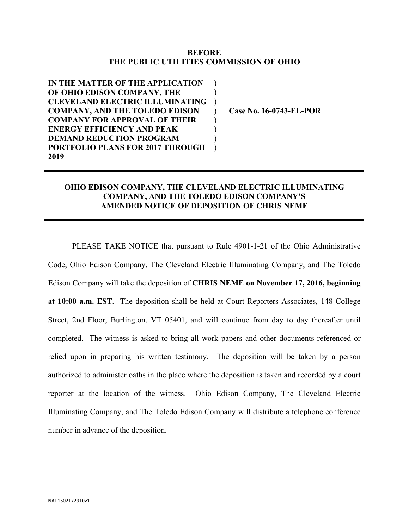## **BEFORE THE PUBLIC UTILITIES COMMISSION OF OHIO**

 $\mathcal{L}$  $\mathcal{L}$ )  $\mathcal{L}$  $\mathcal{L}$  $\mathcal{L}$ )  $\mathcal{L}$ 

**IN THE MATTER OF THE APPLICATION OF OHIO EDISON COMPANY, THE CLEVELAND ELECTRIC ILLUMINATING COMPANY, AND THE TOLEDO EDISON COMPANY FOR APPROVAL OF THEIR ENERGY EFFICIENCY AND PEAK DEMAND REDUCTION PROGRAM PORTFOLIO PLANS FOR 2017 THROUGH 2019**

**Case No. 16-0743-EL-POR**

## **OHIO EDISON COMPANY, THE CLEVELAND ELECTRIC ILLUMINATING COMPANY, AND THE TOLEDO EDISON COMPANY'S AMENDED NOTICE OF DEPOSITION OF CHRIS NEME**

PLEASE TAKE NOTICE that pursuant to Rule 4901-1-21 of the Ohio Administrative Code, Ohio Edison Company, The Cleveland Electric Illuminating Company, and The Toledo Edison Company will take the deposition of **CHRIS NEME on November 17, 2016, beginning at 10:00 a.m. EST**. The deposition shall be held at Court Reporters Associates, 148 College Street, 2nd Floor, Burlington, VT 05401, and will continue from day to day thereafter until completed. The witness is asked to bring all work papers and other documents referenced or relied upon in preparing his written testimony. The deposition will be taken by a person authorized to administer oaths in the place where the deposition is taken and recorded by a court reporter at the location of the witness. Ohio Edison Company, The Cleveland Electric Illuminating Company, and The Toledo Edison Company will distribute a telephone conference number in advance of the deposition.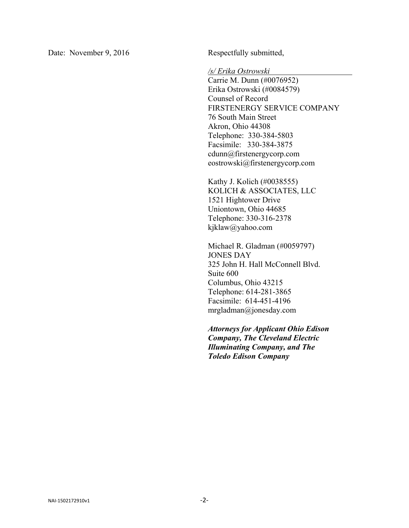Date: November 9, 2016 Respectfully submitted,

*/s/ Erika Ostrowski* 

Carrie M. Dunn (#0076952) Erika Ostrowski (#0084579) Counsel of Record FIRSTENERGY SERVICE COMPANY 76 South Main Street Akron, Ohio 44308 Telephone: 330-384-5803 Facsimile: 330-384-3875 cdunn@firstenergycorp.com eostrowski@firstenergycorp.com

Kathy J. Kolich (#0038555) KOLICH & ASSOCIATES, LLC 1521 Hightower Drive Uniontown, Ohio 44685 Telephone: 330-316-2378 kjklaw@yahoo.com

Michael R. Gladman (#0059797) JONES DAY 325 John H. Hall McConnell Blvd. Suite 600 Columbus, Ohio 43215 Telephone: 614-281-3865 Facsimile: 614-451-4196 mrgladman@jonesday.com

*Attorneys for Applicant Ohio Edison Company, The Cleveland Electric Illuminating Company, and The Toledo Edison Company*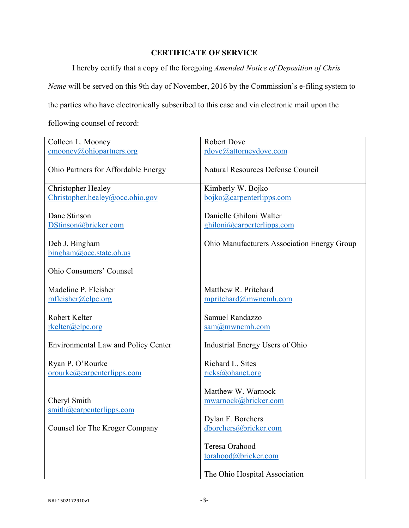## **CERTIFICATE OF SERVICE**

I hereby certify that a copy of the foregoing *Amended Notice of Deposition of Chris* 

*Neme* will be served on this 9th day of November, 2016 by the Commission's e-filing system to

the parties who have electronically subscribed to this case and via electronic mail upon the

following counsel of record:

| Colleen L. Mooney                                    | <b>Robert Dove</b>                                                      |
|------------------------------------------------------|-------------------------------------------------------------------------|
| $\text{cmooney}(a)$ ohiopartners.org                 | rdove@attorneydove.com                                                  |
| Ohio Partners for Affordable Energy                  | <b>Natural Resources Defense Council</b>                                |
| Christopher Healey                                   | Kimberly W. Bojko                                                       |
| Christopher.healey@occ.ohio.gov                      | bojko@carpenterlipps.com                                                |
| Dane Stinson<br>DStinson@bricker.com                 | Danielle Ghiloni Walter<br>ghiloni@carperterlipps.com                   |
| Deb J. Bingham                                       | <b>Ohio Manufacturers Association Energy Group</b>                      |
| bingham@occ.state.oh.us                              |                                                                         |
| Ohio Consumers' Counsel                              |                                                                         |
| Madeline P. Fleisher                                 | Matthew R. Pritchard                                                    |
| mfleisher@elpc.org                                   | mpritchard@mwncmh.com                                                   |
| Robert Kelter<br>rkelter@elpc.org                    | Samuel Randazzo<br>$sam@m$ wncmh.com                                    |
| <b>Environmental Law and Policy Center</b>           | Industrial Energy Users of Ohio                                         |
| Ryan P. O'Rourke                                     | Richard L. Sites                                                        |
| orourke@carpenterlipps.com                           | ricks@ohanet.org                                                        |
| Cheryl Smith<br>$\sinith(\omega)$ carpenterlipps.com | Matthew W. Warnock<br>mwarnock@bricker.com<br>Dylan F. Borchers         |
| Counsel for The Kroger Company                       | dborchers@bricker.com                                                   |
|                                                      | Teresa Orahood<br>torahood@bricker.com<br>The Ohio Hospital Association |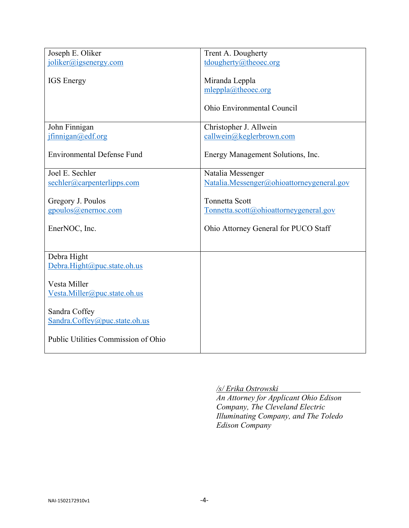| joliker@igsenergy.com<br>tdougherty@theoec.org<br><b>IGS</b> Energy<br>Miranda Leppla<br>mleppla@theoec.org<br>Ohio Environmental Council<br>Christopher J. Allwein<br>John Finnigan<br>ifining an @edf.org<br>callwein@keglerbrown.com<br><b>Environmental Defense Fund</b><br>Energy Management Solutions, Inc.<br>Joel E. Sechler<br>Natalia Messenger<br>sechler@carpenterlipps.com<br>Natalia.Messenger@ohioattorneygeneral.gov<br><b>Tonnetta Scott</b><br>Gregory J. Poulos<br>gpoulos@enernoc.com<br>Tonnetta.scott@ohioattorneygeneral.gov<br>EnerNOC, Inc.<br>Ohio Attorney General for PUCO Staff<br>Debra Hight<br>Debra.Hight@puc.state.oh.us<br>Vesta Miller<br>Vesta.Miller@puc.state.oh.us<br>Sandra Coffey<br>Sandra.Coffey@puc.state.oh.us<br>Public Utilities Commission of Ohio |                  |                    |
|-----------------------------------------------------------------------------------------------------------------------------------------------------------------------------------------------------------------------------------------------------------------------------------------------------------------------------------------------------------------------------------------------------------------------------------------------------------------------------------------------------------------------------------------------------------------------------------------------------------------------------------------------------------------------------------------------------------------------------------------------------------------------------------------------------|------------------|--------------------|
|                                                                                                                                                                                                                                                                                                                                                                                                                                                                                                                                                                                                                                                                                                                                                                                                     | Joseph E. Oliker | Trent A. Dougherty |
|                                                                                                                                                                                                                                                                                                                                                                                                                                                                                                                                                                                                                                                                                                                                                                                                     |                  |                    |
|                                                                                                                                                                                                                                                                                                                                                                                                                                                                                                                                                                                                                                                                                                                                                                                                     |                  |                    |
|                                                                                                                                                                                                                                                                                                                                                                                                                                                                                                                                                                                                                                                                                                                                                                                                     |                  |                    |
|                                                                                                                                                                                                                                                                                                                                                                                                                                                                                                                                                                                                                                                                                                                                                                                                     |                  |                    |
|                                                                                                                                                                                                                                                                                                                                                                                                                                                                                                                                                                                                                                                                                                                                                                                                     |                  |                    |
|                                                                                                                                                                                                                                                                                                                                                                                                                                                                                                                                                                                                                                                                                                                                                                                                     |                  |                    |
|                                                                                                                                                                                                                                                                                                                                                                                                                                                                                                                                                                                                                                                                                                                                                                                                     |                  |                    |
|                                                                                                                                                                                                                                                                                                                                                                                                                                                                                                                                                                                                                                                                                                                                                                                                     |                  |                    |
|                                                                                                                                                                                                                                                                                                                                                                                                                                                                                                                                                                                                                                                                                                                                                                                                     |                  |                    |
|                                                                                                                                                                                                                                                                                                                                                                                                                                                                                                                                                                                                                                                                                                                                                                                                     |                  |                    |
|                                                                                                                                                                                                                                                                                                                                                                                                                                                                                                                                                                                                                                                                                                                                                                                                     |                  |                    |
|                                                                                                                                                                                                                                                                                                                                                                                                                                                                                                                                                                                                                                                                                                                                                                                                     |                  |                    |
|                                                                                                                                                                                                                                                                                                                                                                                                                                                                                                                                                                                                                                                                                                                                                                                                     |                  |                    |
|                                                                                                                                                                                                                                                                                                                                                                                                                                                                                                                                                                                                                                                                                                                                                                                                     |                  |                    |
|                                                                                                                                                                                                                                                                                                                                                                                                                                                                                                                                                                                                                                                                                                                                                                                                     |                  |                    |
|                                                                                                                                                                                                                                                                                                                                                                                                                                                                                                                                                                                                                                                                                                                                                                                                     |                  |                    |
|                                                                                                                                                                                                                                                                                                                                                                                                                                                                                                                                                                                                                                                                                                                                                                                                     |                  |                    |
|                                                                                                                                                                                                                                                                                                                                                                                                                                                                                                                                                                                                                                                                                                                                                                                                     |                  |                    |
|                                                                                                                                                                                                                                                                                                                                                                                                                                                                                                                                                                                                                                                                                                                                                                                                     |                  |                    |
|                                                                                                                                                                                                                                                                                                                                                                                                                                                                                                                                                                                                                                                                                                                                                                                                     |                  |                    |
|                                                                                                                                                                                                                                                                                                                                                                                                                                                                                                                                                                                                                                                                                                                                                                                                     |                  |                    |
|                                                                                                                                                                                                                                                                                                                                                                                                                                                                                                                                                                                                                                                                                                                                                                                                     |                  |                    |
|                                                                                                                                                                                                                                                                                                                                                                                                                                                                                                                                                                                                                                                                                                                                                                                                     |                  |                    |
|                                                                                                                                                                                                                                                                                                                                                                                                                                                                                                                                                                                                                                                                                                                                                                                                     |                  |                    |
|                                                                                                                                                                                                                                                                                                                                                                                                                                                                                                                                                                                                                                                                                                                                                                                                     |                  |                    |
|                                                                                                                                                                                                                                                                                                                                                                                                                                                                                                                                                                                                                                                                                                                                                                                                     |                  |                    |
|                                                                                                                                                                                                                                                                                                                                                                                                                                                                                                                                                                                                                                                                                                                                                                                                     |                  |                    |
|                                                                                                                                                                                                                                                                                                                                                                                                                                                                                                                                                                                                                                                                                                                                                                                                     |                  |                    |
|                                                                                                                                                                                                                                                                                                                                                                                                                                                                                                                                                                                                                                                                                                                                                                                                     |                  |                    |
|                                                                                                                                                                                                                                                                                                                                                                                                                                                                                                                                                                                                                                                                                                                                                                                                     |                  |                    |
|                                                                                                                                                                                                                                                                                                                                                                                                                                                                                                                                                                                                                                                                                                                                                                                                     |                  |                    |
|                                                                                                                                                                                                                                                                                                                                                                                                                                                                                                                                                                                                                                                                                                                                                                                                     |                  |                    |
|                                                                                                                                                                                                                                                                                                                                                                                                                                                                                                                                                                                                                                                                                                                                                                                                     |                  |                    |
|                                                                                                                                                                                                                                                                                                                                                                                                                                                                                                                                                                                                                                                                                                                                                                                                     |                  |                    |
|                                                                                                                                                                                                                                                                                                                                                                                                                                                                                                                                                                                                                                                                                                                                                                                                     |                  |                    |
|                                                                                                                                                                                                                                                                                                                                                                                                                                                                                                                                                                                                                                                                                                                                                                                                     |                  |                    |
|                                                                                                                                                                                                                                                                                                                                                                                                                                                                                                                                                                                                                                                                                                                                                                                                     |                  |                    |

*/s/ Erika Ostrowski* 

*An Attorney for Applicant Ohio Edison Company, The Cleveland Electric Illuminating Company, and The Toledo Edison Company*